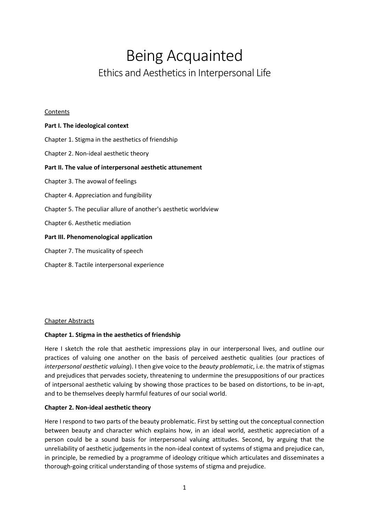# Being Acquainted Ethics and Aesthetics in Interpersonal Life

#### Contents

| Part I. The ideological context                                 |
|-----------------------------------------------------------------|
| Chapter 1. Stigma in the aesthetics of friendship               |
| Chapter 2. Non-ideal aesthetic theory                           |
| Part II. The value of interpersonal aesthetic attunement        |
| Chapter 3. The avowal of feelings                               |
| Chapter 4. Appreciation and fungibility                         |
| Chapter 5. The peculiar allure of another's aesthetic worldview |
| Chapter 6. Aesthetic mediation                                  |
| Part III. Phenomenological application                          |
| Chapter 7. The musicality of speech                             |
|                                                                 |

Chapter 8. Tactile interpersonal experience

## Chapter Abstracts

## **Chapter 1. Stigma in the aesthetics of friendship**

Here I sketch the role that aesthetic impressions play in our interpersonal lives, and outline our practices of valuing one another on the basis of perceived aesthetic qualities (our practices of *interpersonal aesthetic valuing*). I then give voice to the *beauty problematic*, i.e. the matrix of stigmas and prejudices that pervades society, threatening to undermine the presuppositions of our practices of intpersonal aesthetic valuing by showing those practices to be based on distortions, to be in-apt, and to be themselves deeply harmful features of our social world.

## **Chapter 2. Non-ideal aesthetic theory**

Here I respond to two parts of the beauty problematic. First by setting out the conceptual connection between beauty and character which explains how, in an ideal world, aesthetic appreciation of a person could be a sound basis for interpersonal valuing attitudes. Second, by arguing that the unreliability of aesthetic judgements in the non-ideal context of systems of stigma and prejudice can, in principle, be remedied by a programme of ideology critique which articulates and disseminates a thorough-going critical understanding of those systems of stigma and prejudice.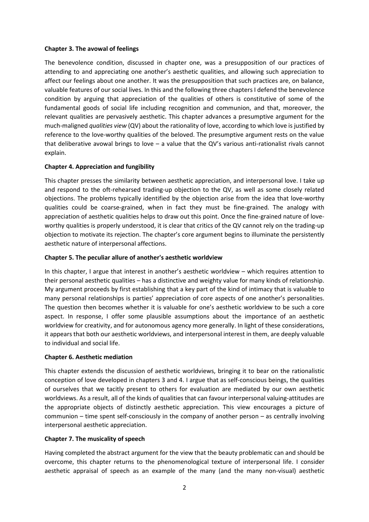#### **Chapter 3. The avowal of feelings**

The benevolence condition, discussed in chapter one, was a presupposition of our practices of attending to and appreciating one another's aesthetic qualities, and allowing such appreciation to affect our feelings about one another. It was the presupposition that such practices are, on balance, valuable features of our social lives. In this and the following three chapters I defend the benevolence condition by arguing that appreciation of the qualities of others is constitutive of some of the fundamental goods of social life including recognition and communion, and that, moreover, the relevant qualities are pervasively aesthetic. This chapter advances a presumptive argument for the much-maligned *qualities view* (QV) about the rationality of love, according to which love is justified by reference to the love-worthy qualities of the beloved. The presumptive argument rests on the value that deliberative avowal brings to love – a value that the QV's various anti-rationalist rivals cannot explain.

## **Chapter 4. Appreciation and fungibility**

This chapter presses the similarity between aesthetic appreciation, and interpersonal love. I take up and respond to the oft-rehearsed trading-up objection to the QV, as well as some closely related objections. The problems typically identified by the objection arise from the idea that love-worthy qualities could be coarse-grained, when in fact they must be fine-grained. The analogy with appreciation of aesthetic qualities helps to draw out this point. Once the fine-grained nature of loveworthy qualities is properly understood, it is clear that critics of the QV cannot rely on the trading-up objection to motivate its rejection. The chapter's core argument begins to illuminate the persistently aesthetic nature of interpersonal affections.

#### **Chapter 5. The peculiar allure of another's aesthetic worldview**

In this chapter, I argue that interest in another's aesthetic worldview – which requires attention to their personal aesthetic qualities – has a distinctive and weighty value for many kinds of relationship. My argument proceeds by first establishing that a key part of the kind of intimacy that is valuable to many personal relationships is parties' appreciation of core aspects of one another's personalities. The question then becomes whether it is valuable for one's aesthetic worldview to be such a core aspect. In response, I offer some plausible assumptions about the importance of an aesthetic worldview for creativity, and for autonomous agency more generally. In light of these considerations, it appears that both our aesthetic worldviews, and interpersonal interest in them, are deeply valuable to individual and social life.

#### **Chapter 6. Aesthetic mediation**

This chapter extends the discussion of aesthetic worldviews, bringing it to bear on the rationalistic conception of love developed in chapters 3 and 4. I argue that as self-conscious beings, the qualities of ourselves that we tacitly present to others for evaluation are mediated by our own aesthetic worldviews. As a result, all of the kinds of qualities that can favour interpersonal valuing-attitudes are the appropriate objects of distinctly aesthetic appreciation. This view encourages a picture of communion – time spent self-consciously in the company of another person – as centrally involving interpersonal aesthetic appreciation.

## **Chapter 7. The musicality of speech**

Having completed the abstract argument for the view that the beauty problematic can and should be overcome, this chapter returns to the phenomenological texture of interpersonal life. I consider aesthetic appraisal of speech as an example of the many (and the many non-visual) aesthetic